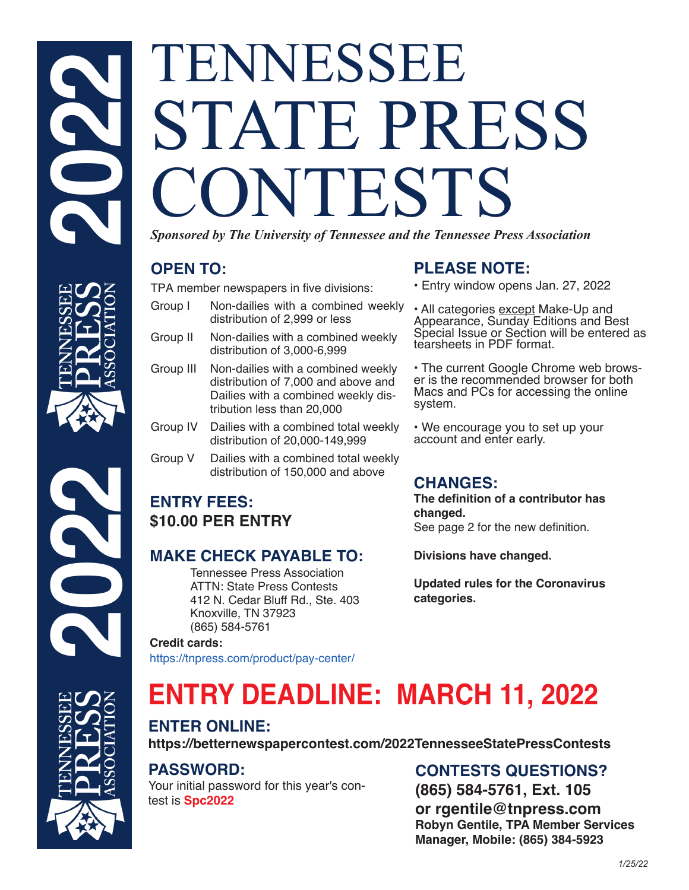# TENNESSEE STATE PRESS ONTESTS *Sponsored by The University of Tennessee and the Tennessee Press Association*

# **OPEN TO:**

TPA member newspapers in five divisions:

- Group I Non-dailies with a combined weekly distribution of 2,999 or less
- Group II Non-dailies with a combined weekly distribution of 3,000-6,999
- Group III Non-dailies with a combined weekly distribution of 7,000 and above and Dailies with a combined weekly distribution less than 20,000
- Group IV Dailies with a combined total weekly distribution of 20,000-149,999
- Group V Dailies with a combined total weekly distribution of 150,000 and above

# **ENTRY FEES: \$10.00 PER ENTRY**

# **MAKE CHECK PAYABLE TO:**

 Tennessee Press Association ATTN: State Press Contests 412 N. Cedar Bluff Rd., Ste. 403 Knoxville, TN 37923 (865) 584-5761

#### **Credit cards:**

https://tnpress.com/product/pay-center/

# **PLEASE NOTE:**

- Entry window opens Jan. 27, 2022
- All categories except Make-Up and Appearance, Sunday Editions and Best Special Issue or Section will be entered as tearsheets in PDF format.

• The current Google Chrome web brows- er is the recommended browser for both Macs and PCs for accessing the online system.

• We encourage you to set up your account and enter early.

# **CHANGES:**

**The definition of a contributor has changed.**  See page 2 for the new definition.

**Divisions have changed.**

**Updated rules for the Coronavirus categories.**

# **ENTRY DEADLINE: MARCH 11, 2022**

# **ENTER ONLINE:**

**https://betternewspapercontest.com/2022TennesseeStatePressContests**

# **PASSWORD:**

Your initial password for this year's contest is **Spc2022**

# **CONTESTS QUESTIONS?**

**(865) 584-5761, Ext. 105 or rgentile@tnpress.com Robyn Gentile, TPA Member Services Manager, Mobile: (865) 384-5923**



**2022**



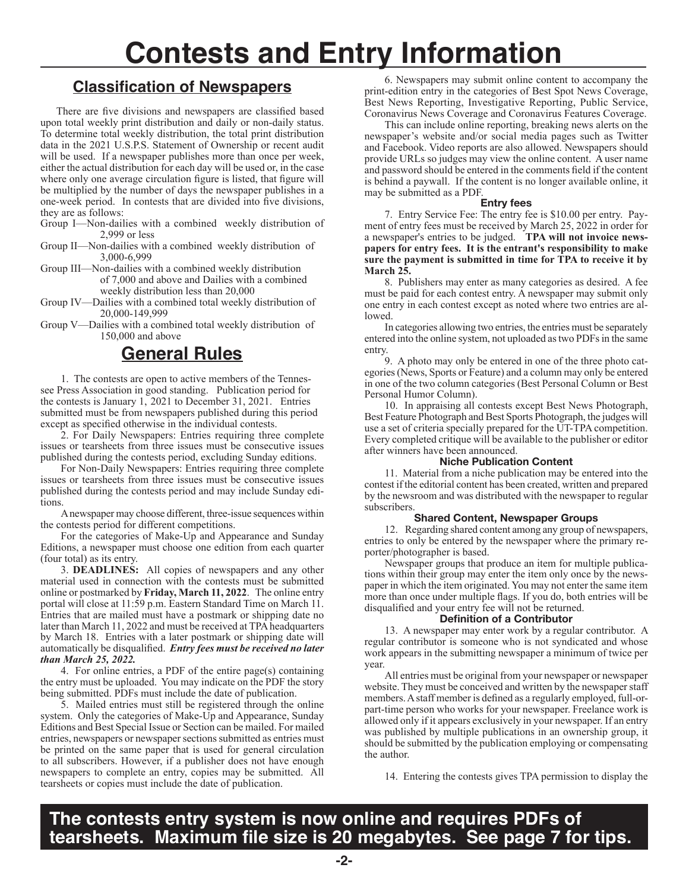# **Contests and Entry Information**

# **Classification of Newspapers**

 There are five divisions and newspapers are classified based upon total weekly print distribution and daily or non-daily status. To determine total weekly distribution, the total print distribution data in the 2021 U.S.P.S. Statement of Ownership or recent audit will be used. If a newspaper publishes more than once per week, either the actual distribution for each day will be used or, in the case where only one average circulation figure is listed, that figure will be multiplied by the number of days the newspaper publishes in a one-week period. In contests that are divided into five divisions, they are as follows:

- Group I—Non-dailies with a combined weekly distribution of 2,999 or less
- Group II—Non-dailies with a combined weekly distribution of 3,000-6,999

Group III—Non-dailies with a combined weekly distribution of 7,000 and above and Dailies with a combined weekly distribution less than 20,000

Group IV—Dailies with a combined total weekly distribution of 20,000-149,999

Group V—Dailies with a combined total weekly distribution of 150,000 and above

# **General Rules**

1. The contests are open to active members of the Tennessee Press Association in good standing. Publication period for the contests is January 1, 2021 to December 31, 2021. Entries submitted must be from newspapers published during this period except as specified otherwise in the individual contests.

2. For Daily Newspapers: Entries requiring three complete issues or tearsheets from three issues must be consecutive issues published during the contests period, excluding Sunday editions.

For Non-Daily Newspapers: Entries requiring three complete issues or tearsheets from three issues must be consecutive issues published during the contests period and may include Sunday editions.

A newspaper may choose different, three-issue sequences within the contests period for different competitions.

For the categories of Make-Up and Appearance and Sunday Editions, a newspaper must choose one edition from each quarter (four total) as its entry.

3. **DEADLINES:** All copies of newspapers and any other material used in connection with the contests must be submitted online or postmarked by **Friday, March 11, 2022**. The online entry portal will close at 11:59 p.m. Eastern Standard Time on March 11. Entries that are mailed must have a postmark or shipping date no later than March 11, 2022 and must be received at TPA headquarters by March 18. Entries with a later postmark or shipping date will automatically be disqualified. *Entry fees must be received no later than March 25, 2022.*

4. For online entries, a PDF of the entire page(s) containing the entry must be uploaded. You may indicate on the PDF the story being submitted. PDFs must include the date of publication.

5. Mailed entries must still be registered through the online system. Only the categories of Make-Up and Appearance, Sunday Editions and Best Special Issue or Section can be mailed. For mailed entries, newspapers or newspaper sections submitted as entries must be printed on the same paper that is used for general circulation to all subscribers. However, if a publisher does not have enough newspapers to complete an entry, copies may be submitted. All tearsheets or copies must include the date of publication.

6. Newspapers may submit online content to accompany the print-edition entry in the categories of Best Spot News Coverage, Best News Reporting, Investigative Reporting, Public Service, Coronavirus News Coverage and Coronavirus Features Coverage.

This can include online reporting, breaking news alerts on the newspaper's website and/or social media pages such as Twitter and Facebook. Video reports are also allowed. Newspapers should provide URLs so judges may view the online content. A user name and password should be entered in the comments field if the content is behind a paywall. If the content is no longer available online, it may be submitted as a PDF.

#### **Entry fees**

7. Entry Service Fee: The entry fee is \$10.00 per entry. Payment of entry fees must be received by March 25, 2022 in order for a newspaper's entries to be judged. **TPA will not invoice newspapers for entry fees. It is the entrant's responsibility to make sure the payment is submitted in time for TPA to receive it by March 25.**

8. Publishers may enter as many categories as desired. A fee must be paid for each contest entry. A newspaper may submit only one entry in each contest except as noted where two entries are allowed.

In categories allowing two entries, the entries must be separately entered into the online system, not uploaded as two PDFs in the same entry.

9. A photo may only be entered in one of the three photo categories (News, Sports or Feature) and a column may only be entered in one of the two column categories (Best Personal Column or Best Personal Humor Column).

10. In appraising all contests except Best News Photograph, Best Feature Photograph and Best Sports Photograph, the judges will use a set of criteria specially prepared for the UT-TPA competition. Every completed critique will be available to the publisher or editor after winners have been announced.

#### **Niche Publication Content**

11. Material from a niche publication may be entered into the contest if the editorial content has been created, written and prepared by the newsroom and was distributed with the newspaper to regular subscribers.

#### **Shared Content, Newspaper Groups**

12. Regarding shared content among any group of newspapers, entries to only be entered by the newspaper where the primary reporter/photographer is based.

Newspaper groups that produce an item for multiple publications within their group may enter the item only once by the newspaper in which the item originated. You may not enter the same item more than once under multiple flags. If you do, both entries will be disqualified and your entry fee will not be returned.

#### **Definition of a Contributor**

13. A newspaper may enter work by a regular contributor. A regular contributor is someone who is not syndicated and whose work appears in the submitting newspaper a minimum of twice per year.

All entries must be original from your newspaper or newspaper website. They must be conceived and written by the newspaper staff members. A staff member is defined as a regularly employed, full-orpart-time person who works for your newspaper. Freelance work is allowed only if it appears exclusively in your newspaper. If an entry was published by multiple publications in an ownership group, it should be submitted by the publication employing or compensating the author.

14. Entering the contests gives TPA permission to display the

**The contests entry system is now online and requires PDFs of tearsheets. Maximum file size is 20 megabytes. See page 7 for tips.**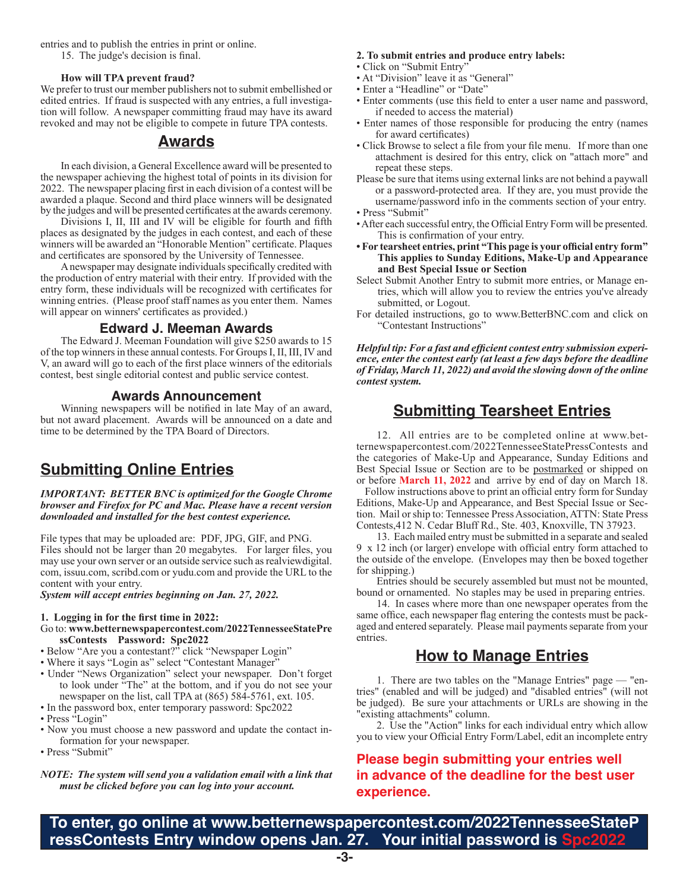entries and to publish the entries in print or online.

#### **How will TPA prevent fraud?**

We prefer to trust our member publishers not to submit embellished or edited entries. If fraud is suspected with any entries, a full investigation will follow. A newspaper committing fraud may have its award revoked and may not be eligible to compete in future TPA contests.

#### **Awards**

In each division, a General Excellence award will be presented to the newspaper achieving the highest total of points in its division for 2022. The newspaper placing first in each division of a contest will be awarded a plaque. Second and third place winners will be designated by the judges and will be presented certificates at the awards ceremony.

Divisions I, II, III and IV will be eligible for fourth and fifth places as designated by the judges in each contest, and each of these winners will be awarded an "Honorable Mention" certificate. Plaques and certificates are sponsored by the University of Tennessee.

A newspaper may designate individuals specifically credited with the production of entry material with their entry. If provided with the entry form, these individuals will be recognized with certificates for winning entries. (Please proof staff names as you enter them. Names will appear on winners' certificates as provided.)

#### **Edward J. Meeman Awards**

The Edward J. Meeman Foundation will give \$250 awards to 15 of the top winners in these annual contests. For Groups I, II, III, IV and V, an award will go to each of the first place winners of the editorials contest, best single editorial contest and public service contest.

#### **Awards Announcement**

Winning newspapers will be notified in late May of an award, but not award placement. Awards will be announced on a date and time to be determined by the TPA Board of Directors.

# **Submitting Online Entries**

*IMPORTANT: BETTER BNC is optimized for the Google Chrome browser and Firefox for PC and Mac. Please have a recent version downloaded and installed for the best contest experience.*

File types that may be uploaded are: PDF, JPG, GIF, and PNG. Files should not be larger than 20 megabytes. For larger files, you may use your own server or an outside service such as realviewdigital. com, issuu.com, scribd.com or yudu.com and provide the URL to the content with your entry.

*System will accept entries beginning on Jan. 27, 2022.*

#### **1. Logging in for the first time in 2022:**

- Go to: **www.betternewspapercontest.com/2022TennesseeStatePre ssContests Password: Spc2022**
- Below "Are you a contestant?" click "Newspaper Login"
- Where it says "Login as" select "Contestant Manager"
- Under "News Organization" select your newspaper. Don't forget to look under "The" at the bottom, and if you do not see your newspaper on the list, call TPA at (865) 584-5761, ext. 105.
- In the password box, enter temporary password: Spc2022
- Press "Login"
- Now you must choose a new password and update the contact information for your newspaper.
- Press "Submit"

*NOTE: The system will send you a validation email with a link that must be clicked before you can log into your account.*

#### **2. To submit entries and produce entry labels:**

- Click on "Submit Entry"
- At "Division" leave it as "General"
- Enter a "Headline" or "Date"
- Enter comments (use this field to enter a user name and password, if needed to access the material)
- Enter names of those responsible for producing the entry (names for award certificates)
- Click Browse to select a file from your file menu. If more than one attachment is desired for this entry, click on "attach more" and repeat these steps.
- Please be sure that items using external links are not behind a paywall or a password-protected area. If they are, you must provide the username/password info in the comments section of your entry.
- Press "Submit"
- After each successful entry, the Official Entry Form will be presented. This is confirmation of your entry.
- **For tearsheet entries, print "This page is your official entry form" This applies to Sunday Editions, Make-Up and Appearance and Best Special Issue or Section**
- Select Submit Another Entry to submit more entries, or Manage entries, which will allow you to review the entries you've already submitted, or Logout.
- For detailed instructions, go to www.BetterBNC.com and click on "Contestant Instructions"

*Helpful tip: For a fast and efficient contest entry submission experience, enter the contest early (at least a few days before the deadline of Friday, March 11, 2022) and avoid the slowing down of the online contest system.* 

# **Submitting Tearsheet Entries**

12. All entries are to be completed online at www.betternewspapercontest.com/2022TennesseeStatePressContests and the categories of Make-Up and Appearance, Sunday Editions and Best Special Issue or Section are to be postmarked or shipped on or before **March 11, 2022** and arrive by end of day on March 18.

 Follow instructions above to print an official entry form for Sunday Editions, Make-Up and Appearance, and Best Special Issue or Section. Mail or ship to: Tennessee Press Association, ATTN: State Press Contests,412 N. Cedar Bluff Rd., Ste. 403, Knoxville, TN 37923.

13. Each mailed entry must be submitted in a separate and sealed 9 x 12 inch (or larger) envelope with official entry form attached to the outside of the envelope. (Envelopes may then be boxed together for shipping.)

Entries should be securely assembled but must not be mounted, bound or ornamented. No staples may be used in preparing entries.

14. In cases where more than one newspaper operates from the same office, each newspaper flag entering the contests must be packaged and entered separately. Please mail payments separate from your entries.

# **How to Manage Entries**

1. There are two tables on the "Manage Entries" page — "entries" (enabled and will be judged) and "disabled entries" (will not be judged). Be sure your attachments or URLs are showing in the "existing attachments" column.

2. Use the "Action" links for each individual entry which allow you to view your Official Entry Form/Label, edit an incomplete entry

#### **Please begin submitting your entries well in advance of the deadline for the best user experience.**

**To enter, go online at www.betternewspapercontest.com/2022TennesseeStateP ressContests Entry window opens Jan. 27. Your initial password is Spc2022**

<sup>15.</sup> The judge's decision is final.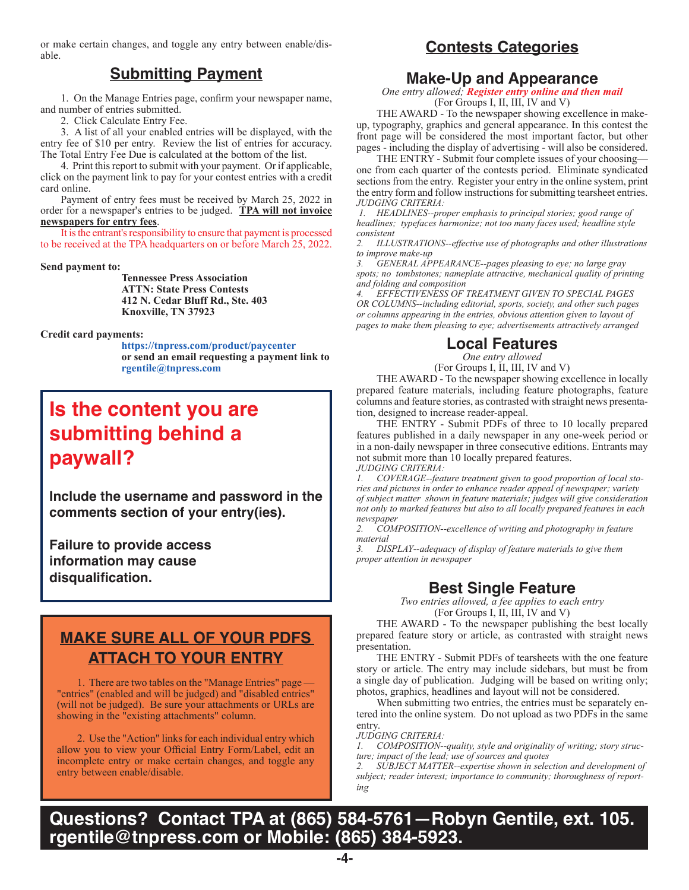or make certain changes, and toggle any entry between enable/disable.

### **Submitting Payment**

1. On the Manage Entries page, confirm your newspaper name, and number of entries submitted.

2. Click Calculate Entry Fee.

3. A list of all your enabled entries will be displayed, with the entry fee of \$10 per entry. Review the list of entries for accuracy. The Total Entry Fee Due is calculated at the bottom of the list.

4. Print this report to submit with your payment. Or if applicable, click on the payment link to pay for your contest entries with a credit card online.

Payment of entry fees must be received by March 25, 2022 in order for a newspaper's entries to be judged. **TPA will not invoice newspapers for entry fees**.

It is the entrant's responsibility to ensure that payment is processed to be received at the TPA headquarters on or before March 25, 2022.

#### **Send payment to:**

**Tennessee Press Association ATTN: State Press Contests 412 N. Cedar Bluff Rd., Ste. 403 Knoxville, TN 37923**

#### **Credit card payments:**

 **https://tnpress.com/product/paycenter or send an email requesting a payment link to rgentile@tnpress.com**

# **Is the content you are submitting behind a paywall?**

**Include the username and password in the comments section of your entry(ies).**

**Failure to provide access information may cause disqualification.**

# **MAKE SURE ALL OF YOUR PDFS ATTACH TO YOUR ENTRY**

1. There are two tables on the "Manage Entries" page — "entries" (enabled and will be judged) and "disabled entries" (will not be judged). Be sure your attachments or URLs are showing in the "existing attachments" column.

2. Use the "Action" links for each individual entry which allow you to view your Official Entry Form/Label, edit an incomplete entry or make certain changes, and toggle any entry between enable/disable.

# **Contests Categories**

#### **Make-Up and Appearance**

*One entry allowed; Register entry online and then mail* (For Groups I, II, III, IV and V)

THE AWARD - To the newspaper showing excellence in makeup, typography, graphics and general appearance. In this contest the front page will be considered the most important factor, but other pages - including the display of advertising - will also be considered.

THE ENTRY - Submit four complete issues of your choosing one from each quarter of the contests period. Eliminate syndicated sections from the entry. Register your entry in the online system, print the entry form and follow instructions for submitting tearsheet entries. *JUDGING CRITERIA:*

 *1. HEADLINES--proper emphasis to principal stories; good range of headlines; typefaces harmonize; not too many faces used; headline style consistent*

*2. ILLUSTRATIONS--effective use of photographs and other illustrations to improve make-up*

*3. GENERAL APPEARANCE--pages pleasing to eye; no large gray spots; no tombstones; nameplate attractive, mechanical quality of printing and folding and composition*

*4. EFFECTIVENESS OF TREATMENT GIVEN TO SPECIAL PAGES OR COLUMNS--including editorial, sports, society, and other such pages or columns appearing in the entries, obvious attention given to layout of pages to make them pleasing to eye; advertisements attractively arranged*

#### **Local Features**

*One entry allowed* 

(For Groups I, II, III, IV and V)

THE AWARD - To the newspaper showing excellence in locally prepared feature materials, including feature photographs, feature columns and feature stories, as contrasted with straight news presentation, designed to increase reader-appeal.

THE ENTRY - Submit PDFs of three to 10 locally prepared features published in a daily newspaper in any one-week period or in a non-daily newspaper in three consecutive editions. Entrants may not submit more than 10 locally prepared features. *JUDGING CRITERIA:*

*1. COVERAGE--feature treatment given to good proportion of local stories and pictures in order to enhance reader appeal of newspaper; variety of subject matter shown in feature materials; judges will give consideration not only to marked features but also to all locally prepared features in each newspaper*

*2. COMPOSITION--excellence of writing and photography in feature material*

*3. DISPLAY--adequacy of display of feature materials to give them proper attention in newspaper*

# **Best Single Feature**

*Two entries allowed, a fee applies to each entry* (For Groups I, II, III, IV and V)

THE AWARD - To the newspaper publishing the best locally prepared feature story or article, as contrasted with straight news presentation.

THE ENTRY - Submit PDFs of tearsheets with the one feature story or article. The entry may include sidebars, but must be from a single day of publication. Judging will be based on writing only; photos, graphics, headlines and layout will not be considered.

When submitting two entries, the entries must be separately entered into the online system. Do not upload as two PDFs in the same entry.

#### *JUDGING CRITERIA:*

*1. COMPOSITION--quality, style and originality of writing; story structure; impact of the lead; use of sources and quotes*

*2. SUBJECT MATTER--expertise shown in selection and development of subject; reader interest; importance to community; thoroughness of reporting*

**Questions? Contact TPA at (865) 584-5761—Robyn Gentile, ext. 105. rgentile@tnpress.com or Mobile: (865) 384-5923.**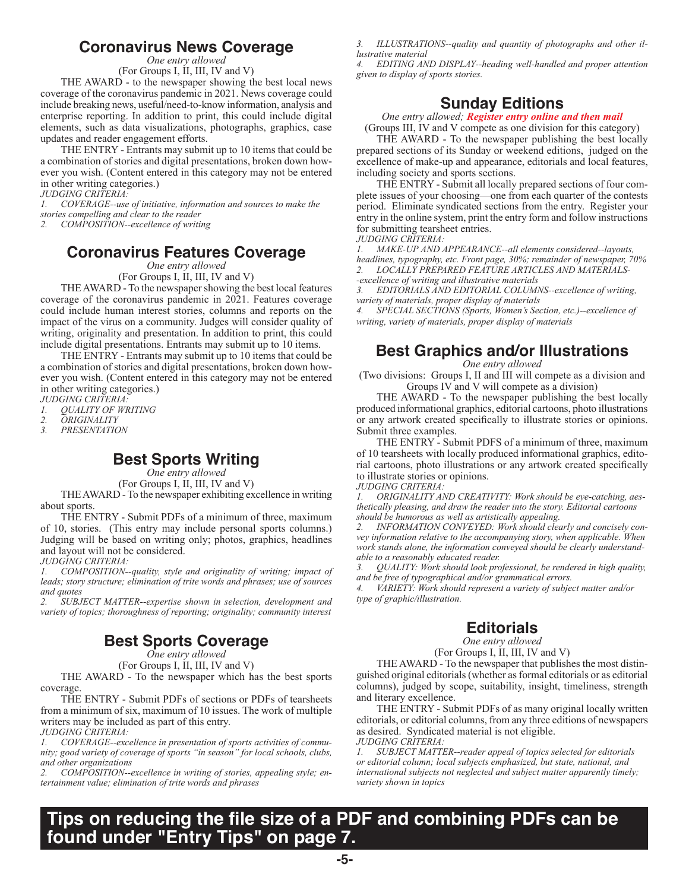#### **Coronavirus News Coverage**

*One entry allowed*

(For Groups I, II, III, IV and V)

THE AWARD - to the newspaper showing the best local news coverage of the coronavirus pandemic in 2021. News coverage could include breaking news, useful/need-to-know information, analysis and enterprise reporting. In addition to print, this could include digital elements, such as data visualizations, photographs, graphics, case updates and reader engagement efforts.

THE ENTRY - Entrants may submit up to 10 items that could be a combination of stories and digital presentations, broken down however you wish. (Content entered in this category may not be entered in other writing categories.)

*JUDGING CRITERIA:*

*1. COVERAGE--use of initiative, information and sources to make the stories compelling and clear to the reader*

*2. COMPOSITION--excellence of writing*

### **Coronavirus Features Coverage**

*One entry allowed*

(For Groups I, II, III, IV and V)

THE AWARD - To the newspaper showing the best local features coverage of the coronavirus pandemic in 2021. Features coverage could include human interest stories, columns and reports on the impact of the virus on a community. Judges will consider quality of writing, originality and presentation. In addition to print, this could include digital presentations. Entrants may submit up to 10 items.

THE ENTRY - Entrants may submit up to 10 items that could be a combination of stories and digital presentations, broken down however you wish. (Content entered in this category may not be entered in other writing categories.)

*JUDGING CRITERIA:*

*1. QUALITY OF WRITING*

*2. ORIGINALITY*

*3. PRESENTATION*

# **Best Sports Writing**

*One entry allowed*

(For Groups I, II, III, IV and V)

THE AWARD - To the newspaper exhibiting excellence in writing about sports.

THE ENTRY - Submit PDFs of a minimum of three, maximum of 10, stories. (This entry may include personal sports columns.) Judging will be based on writing only; photos, graphics, headlines and layout will not be considered.

*JUDGING CRITERIA:*

*1. COMPOSITION--quality, style and originality of writing; impact of leads; story structure; elimination of trite words and phrases; use of sources and quotes*

*2. SUBJECT MATTER--expertise shown in selection, development and variety of topics; thoroughness of reporting; originality; community interest*

# **Best Sports Coverage**

*One entry allowed*

(For Groups I, II, III, IV and V)

THE AWARD - To the newspaper which has the best sports coverage.

THE ENTRY - Submit PDFs of sections or PDFs of tearsheets from a minimum of six, maximum of 10 issues. The work of multiple writers may be included as part of this entry.

*JUDGING CRITERIA:*

*1. COVERAGE--excellence in presentation of sports activities of community; good variety of coverage of sports "in season" for local schools, clubs, and other organizations*

*2. COMPOSITION--excellence in writing of stories, appealing style; entertainment value; elimination of trite words and phrases*

*3. ILLUSTRATIONS--quality and quantity of photographs and other illustrative material*

*4. EDITING AND DISPLAY--heading well-handled and proper attention given to display of sports stories.*

# **Sunday Editions**

*One entry allowed; Register entry online and then mail*

(Groups III, IV and V compete as one division for this category) THE AWARD - To the newspaper publishing the best locally prepared sections of its Sunday or weekend editions, judged on the excellence of make-up and appearance, editorials and local features, including society and sports sections.

THE ENTRY - Submit all locally prepared sections of four complete issues of your choosing—one from each quarter of the contests period. Eliminate syndicated sections from the entry. Register your entry in the online system, print the entry form and follow instructions for submitting tearsheet entries.

*JUDGING CRITERIA:*

*1. MAKE-UP AND APPEARANCE--all elements considered--layouts, headlines, typography, etc. Front page, 30%; remainder of newspaper, 70% 2. LOCALLY PREPARED FEATURE ARTICLES AND MATERIALS-*

*-excellence of writing and illustrative materials*

*3. EDITORIALS AND EDITORIAL COLUMNS--excellence of writing, variety of materials, proper display of materials*

*4. SPECIAL SECTIONS (Sports, Women's Section, etc.)--excellence of writing, variety of materials, proper display of materials*

# **Best Graphics and/or Illustrations**

*One entry allowed*

(Two divisions: Groups I, II and III will compete as a division and Groups IV and V will compete as a division)

THE AWARD - To the newspaper publishing the best locally produced informational graphics, editorial cartoons, photo illustrations or any artwork created specifically to illustrate stories or opinions. Submit three examples.

THE ENTRY - Submit PDFS of a minimum of three, maximum of 10 tearsheets with locally produced informational graphics, editorial cartoons, photo illustrations or any artwork created specifically to illustrate stories or opinions. *JUDGING CRITERIA:*

*1. ORIGINALITY AND CREATIVITY: Work should be eye-catching, aesthetically pleasing, and draw the reader into the story. Editorial cartoons should be humorous as well as artistically appealing.*

*2. INFORMATION CONVEYED: Work should clearly and concisely convey information relative to the accompanying story, when applicable. When work stands alone, the information conveyed should be clearly understandable to a reasonably educated reader.*

*3. QUALITY: Work should look professional, be rendered in high quality, and be free of typographical and/or grammatical errors.*

*4. VARIETY: Work should represent a variety of subject matter and/or type of graphic/illustration.*

# **Editorials**

*One entry allowed*

(For Groups I, II, III, IV and V)

THE AWARD - To the newspaper that publishes the most distinguished original editorials (whether as formal editorials or as editorial columns), judged by scope, suitability, insight, timeliness, strength and literary excellence.

THE ENTRY - Submit PDFs of as many original locally written editorials, or editorial columns, from any three editions of newspapers as desired. Syndicated material is not eligible. *JUDGING CRITERIA:*

*1. SUBJECT MATTER--reader appeal of topics selected for editorials or editorial column; local subjects emphasized, but state, national, and international subjects not neglected and subject matter apparently timely; variety shown in topics*

# **Tips on reducing the file size of a PDF and combining PDFs can be found under "Entry Tips" on page 7.**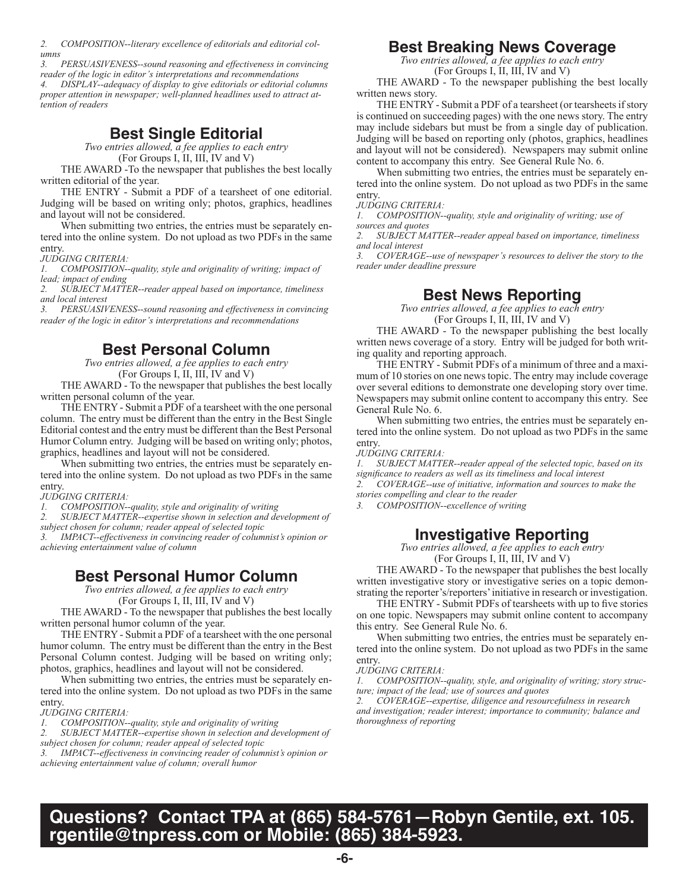*2. COMPOSITION--literary excellence of editorials and editorial columns*

*3. PERSUASIVENESS--sound reasoning and effectiveness in convincing reader of the logic in editor's interpretations and recommendations*

*4. DISPLAY--adequacy of display to give editorials or editorial columns proper attention in newspaper; well-planned headlines used to attract attention of readers*

# **Best Single Editorial**

*Two entries allowed, a fee applies to each entry*

(For Groups I, II, III, IV and V)

THE AWARD -To the newspaper that publishes the best locally written editorial of the year.

THE ENTRY - Submit a PDF of a tearsheet of one editorial. Judging will be based on writing only; photos, graphics, headlines and layout will not be considered.

When submitting two entries, the entries must be separately entered into the online system. Do not upload as two PDFs in the same entry.

*JUDGING CRITERIA:*

*1. COMPOSITION--quality, style and originality of writing; impact of lead; impact of ending*

*2. SUBJECT MATTER--reader appeal based on importance, timeliness and local interest*

*3. PERSUASIVENESS--sound reasoning and effectiveness in convincing reader of the logic in editor's interpretations and recommendations*

#### **Best Personal Column**

*Two entries allowed, a fee applies to each entry* (For Groups I, II, III, IV and V)

THE AWARD - To the newspaper that publishes the best locally written personal column of the year.

THE ENTRY - Submit a PDF of a tearsheet with the one personal column. The entry must be different than the entry in the Best Single Editorial contest and the entry must be different than the Best Personal Humor Column entry. Judging will be based on writing only; photos, graphics, headlines and layout will not be considered.

When submitting two entries, the entries must be separately entered into the online system. Do not upload as two PDFs in the same entry.

*JUDGING CRITERIA:*

*1. COMPOSITION--quality, style and originality of writing*

*2. SUBJECT MATTER--expertise shown in selection and development of* 

*subject chosen for column; reader appeal of selected topic*

*3. IMPACT--effectiveness in convincing reader of columnist's opinion or achieving entertainment value of column*

#### **Best Personal Humor Column**

*Two entries allowed, a fee applies to each entry*

(For Groups I, II, III, IV and V)

THE AWARD - To the newspaper that publishes the best locally written personal humor column of the year.

THE ENTRY - Submit a PDF of a tearsheet with the one personal humor column. The entry must be different than the entry in the Best Personal Column contest. Judging will be based on writing only; photos, graphics, headlines and layout will not be considered.

When submitting two entries, the entries must be separately entered into the online system. Do not upload as two PDFs in the same entry.

*JUDGING CRITERIA:*

*1. COMPOSITION--quality, style and originality of writing*

*2. SUBJECT MATTER--expertise shown in selection and development of subject chosen for column; reader appeal of selected topic*

*3. IMPACT--effectiveness in convincing reader of columnist's opinion or achieving entertainment value of column; overall humor*

# **Best Breaking News Coverage**

*Two entries allowed, a fee applies to each entry* (For Groups I, II, III, IV and V)

THE AWARD - To the newspaper publishing the best locally written news story.

THE ENTRY - Submit a PDF of a tearsheet (or tearsheets if story is continued on succeeding pages) with the one news story. The entry may include sidebars but must be from a single day of publication. Judging will be based on reporting only (photos, graphics, headlines and layout will not be considered). Newspapers may submit online content to accompany this entry. See General Rule No. 6.

When submitting two entries, the entries must be separately entered into the online system. Do not upload as two PDFs in the same entry.

*JUDGING CRITERIA:*

*1. COMPOSITION--quality, style and originality of writing; use of sources and quotes*

*2. SUBJECT MATTER--reader appeal based on importance, timeliness and local interest*

*3. COVERAGE--use of newspaper's resources to deliver the story to the reader under deadline pressure*

#### **Best News Reporting**

*Two entries allowed, a fee applies to each entry* (For Groups I, II, III, IV and V)

THE AWARD - To the newspaper publishing the best locally written news coverage of a story. Entry will be judged for both writing quality and reporting approach.

THE ENTRY - Submit PDFs of a minimum of three and a maximum of 10 stories on one news topic. The entry may include coverage over several editions to demonstrate one developing story over time. Newspapers may submit online content to accompany this entry. See General Rule No. 6.

When submitting two entries, the entries must be separately entered into the online system. Do not upload as two PDFs in the same entry.

*JUDGING CRITERIA:*

*1. SUBJECT MATTER--reader appeal of the selected topic, based on its significance to readers as well as its timeliness and local interest 2. COVERAGE--use of initiative, information and sources to make the stories compelling and clear to the reader*

*3. COMPOSITION--excellence of writing*

#### **Investigative Reporting**

*Two entries allowed, a fee applies to each entry*

(For Groups I, II, III, IV and V)

THE AWARD - To the newspaper that publishes the best locally written investigative story or investigative series on a topic demonstrating the reporter's/reporters' initiative in research or investigation.

THE ENTRY - Submit PDFs of tearsheets with up to five stories on one topic. Newspapers may submit online content to accompany this entry. See General Rule No. 6.

When submitting two entries, the entries must be separately entered into the online system. Do not upload as two PDFs in the same entry.

*JUDGING CRITERIA:*

*1. COMPOSITION--quality, style, and originality of writing; story structure; impact of the lead; use of sources and quotes*

*2. COVERAGE--expertise, diligence and resourcefulness in research and investigation; reader interest; importance to community; balance and thoroughness of reporting*

# **Questions? Contact TPA at (865) 584-5761—Robyn Gentile, ext. 105. rgentile@tnpress.com or Mobile: (865) 384-5923.**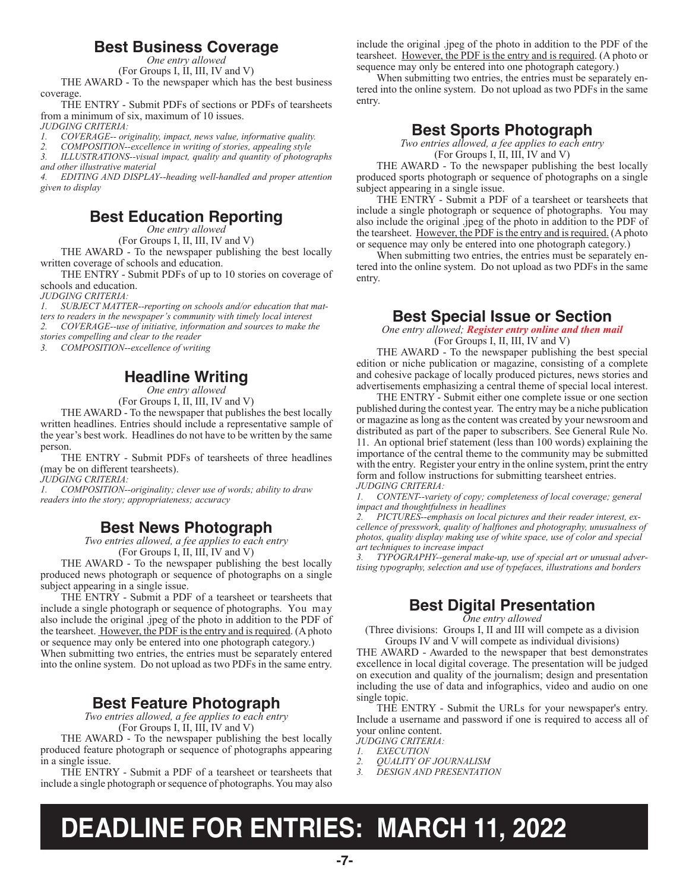### **Best Business Coverage**

*One entry allowed*

(For Groups I, II, III, IV and V)

THE AWARD - To the newspaper which has the best business coverage.

THE ENTRY - Submit PDFs of sections or PDFs of tearsheets from a minimum of six, maximum of 10 issues.

*JUDGING CRITERIA:*

*1. COVERAGE-- originality, impact, news value, informative quality.*

*2. COMPOSITION--excellence in writing of stories, appealing style*

*3. ILLUSTRATIONS--visual impact, quality and quantity of photographs and other illustrative material*

*4. EDITING AND DISPLAY--heading well-handled and proper attention given to display*

# **Best Education Reporting**

*One entry allowed*

(For Groups I, II, III, IV and V)

THE AWARD - To the newspaper publishing the best locally written coverage of schools and education.

THE ENTRY - Submit PDFs of up to 10 stories on coverage of schools and education.

*JUDGING CRITERIA:*

*1. SUBJECT MATTER--reporting on schools and/or education that matters to readers in the newspaper's community with timely local interest*

*2. COVERAGE--use of initiative, information and sources to make the* 

*stories compelling and clear to the reader*

*3. COMPOSITION--excellence of writing*

# **Headline Writing**

*One entry allowed*

(For Groups I, II, III, IV and V)

THE AWARD - To the newspaper that publishes the best locally written headlines. Entries should include a representative sample of the year's best work. Headlines do not have to be written by the same person.

THE ENTRY - Submit PDFs of tearsheets of three headlines (may be on different tearsheets).

*JUDGING CRITERIA:*

*1. COMPOSITION--originality; clever use of words; ability to draw readers into the story; appropriateness; accuracy*

# **Best News Photograph**

*Two entries allowed, a fee applies to each entry* (For Groups I, II, III, IV and V)

THE AWARD - To the newspaper publishing the best locally produced news photograph or sequence of photographs on a single subject appearing in a single issue.

THE ENTRY - Submit a PDF of a tearsheet or tearsheets that include a single photograph or sequence of photographs. You may also include the original .jpeg of the photo in addition to the PDF of the tearsheet. However, the PDF is the entry and is required. (A photo or sequence may only be entered into one photograph category.) When submitting two entries, the entries must be separately entered into the online system. Do not upload as two PDFs in the same entry.

# **Best Feature Photograph**

*Two entries allowed, a fee applies to each entry* (For Groups I, II, III, IV and V)

THE AWARD - To the newspaper publishing the best locally produced feature photograph or sequence of photographs appearing in a single issue.

THE ENTRY - Submit a PDF of a tearsheet or tearsheets that include a single photograph or sequence of photographs. You may also

include the original .jpeg of the photo in addition to the PDF of the tearsheet. However, the PDF is the entry and is required. (A photo or sequence may only be entered into one photograph category.)

When submitting two entries, the entries must be separately entered into the online system. Do not upload as two PDFs in the same entry.

#### **Best Sports Photograph**

*Two entries allowed, a fee applies to each entry* (For Groups I, II, III, IV and V)

THE AWARD - To the newspaper publishing the best locally produced sports photograph or sequence of photographs on a single subject appearing in a single issue.

THE ENTRY - Submit a PDF of a tearsheet or tearsheets that include a single photograph or sequence of photographs. You may also include the original .jpeg of the photo in addition to the PDF of the tearsheet. However, the PDF is the entry and is required. (A photo or sequence may only be entered into one photograph category.)

When submitting two entries, the entries must be separately entered into the online system. Do not upload as two PDFs in the same entry.

#### **Best Special Issue or Section**

*One entry allowed; Register entry online and then mail*  (For Groups I, II, III, IV and V)

THE AWARD - To the newspaper publishing the best special edition or niche publication or magazine, consisting of a complete and cohesive package of locally produced pictures, news stories and advertisements emphasizing a central theme of special local interest.

THE ENTRY - Submit either one complete issue or one section published during the contest year. The entry may be a niche publication or magazine as long as the content was created by your newsroom and distributed as part of the paper to subscribers. See General Rule No. 11. An optional brief statement (less than 100 words) explaining the importance of the central theme to the community may be submitted with the entry. Register your entry in the online system, print the entry form and follow instructions for submitting tearsheet entries. *JUDGING CRITERIA:*

*1. CONTENT--variety of copy; completeness of local coverage; general impact and thoughtfulness in headlines*

*2. PICTURES--emphasis on local pictures and their reader interest, excellence of presswork, quality of halftones and photography, unusualness of photos, quality display making use of white space, use of color and special art techniques to increase impact*

*3. TYPOGRAPHY--general make-up, use of special art or unusual advertising typography, selection and use of typefaces, illustrations and borders*

# **Best Digital Presentation**

*One entry allowed*

(Three divisions: Groups I, II and III will compete as a division Groups IV and V will compete as individual divisions)

THE AWARD - Awarded to the newspaper that best demonstrates excellence in local digital coverage. The presentation will be judged on execution and quality of the journalism; design and presentation including the use of data and infographics, video and audio on one single topic.

THE ENTRY - Submit the URLs for your newspaper's entry. Include a username and password if one is required to access all of your online content.

- *JUDGING CRITERIA:*
- *1. EXECUTION*
- *2. QUALITY OF JOURNALISM 3. DESIGN AND PRESENTATION*
- 

# **DEADLINE FOR ENTRIES: MARCH 11, 2022**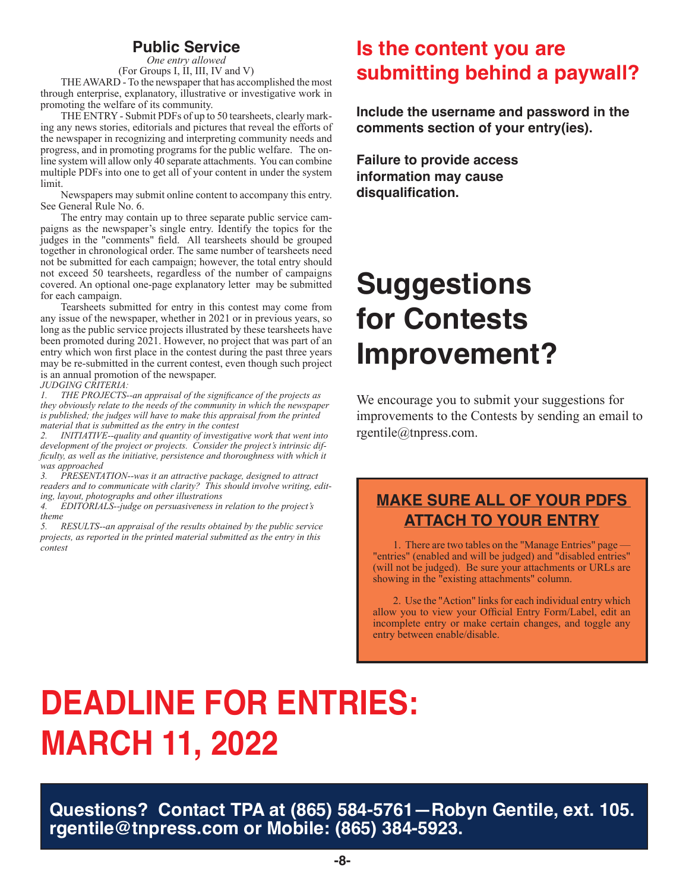### **Public Service**

*One entry allowed* (For Groups I, II, III, IV and V)

THE AWARD - To the newspaper that has accomplished the most through enterprise, explanatory, illustrative or investigative work in promoting the welfare of its community.

THE ENTRY - Submit PDFs of up to 50 tearsheets, clearly marking any news stories, editorials and pictures that reveal the efforts of the newspaper in recognizing and interpreting community needs and progress, and in promoting programs for the public welfare. The online system will allow only 40 separate attachments. You can combine multiple PDFs into one to get all of your content in under the system limit.

Newspapers may submit online content to accompany this entry. See General Rule No. 6.

The entry may contain up to three separate public service campaigns as the newspaper's single entry. Identify the topics for the judges in the "comments" field. All tearsheets should be grouped together in chronological order. The same number of tearsheets need not be submitted for each campaign; however, the total entry should not exceed 50 tearsheets, regardless of the number of campaigns covered. An optional one-page explanatory letter may be submitted for each campaign.

Tearsheets submitted for entry in this contest may come from any issue of the newspaper, whether in 2021 or in previous years, so long as the public service projects illustrated by these tearsheets have been promoted during 2021. However, no project that was part of an entry which won first place in the contest during the past three years may be re-submitted in the current contest, even though such project is an annual promotion of the newspaper.

#### *JUDGING CRITERIA:*

*1. THE PROJECTS--an appraisal of the significance of the projects as they obviously relate to the needs of the community in which the newspaper is published; the judges will have to make this appraisal from the printed material that is submitted as the entry in the contest*

*2. INITIATIVE--quality and quantity of investigative work that went into development of the project or projects. Consider the project's intrinsic difficulty, as well as the initiative, persistence and thoroughness with which it was approached*

*3. PRESENTATION--was it an attractive package, designed to attract readers and to communicate with clarity? This should involve writing, editing, layout, photographs and other illustrations*

*4. EDITORIALS--judge on persuasiveness in relation to the project's theme*

*5. RESULTS--an appraisal of the results obtained by the public service projects, as reported in the printed material submitted as the entry in this contest*

# **Is the content you are submitting behind a paywall?**

**Include the username and password in the comments section of your entry(ies).**

**Failure to provide access information may cause disqualification.**

# **Suggestions for Contests Improvement?**

We encourage you to submit your suggestions for improvements to the Contests by sending an email to rgentile@tnpress.com.

# **MAKE SURE ALL OF YOUR PDFS ATTACH TO YOUR ENTRY**

1. There are two tables on the "Manage Entries" page — "entries" (enabled and will be judged) and "disabled entries" (will not be judged). Be sure your attachments or URLs are showing in the "existing attachments" column.

2. Use the "Action" links for each individual entry which allow you to view your Official Entry Form/Label, edit an incomplete entry or make certain changes, and toggle any entry between enable/disable.

# **DEADLINE FOR ENTRIES: MARCH 11, 2022**

**Questions? Contact TPA at (865) 584-5761—Robyn Gentile, ext. 105. rgentile@tnpress.com or Mobile: (865) 384-5923.**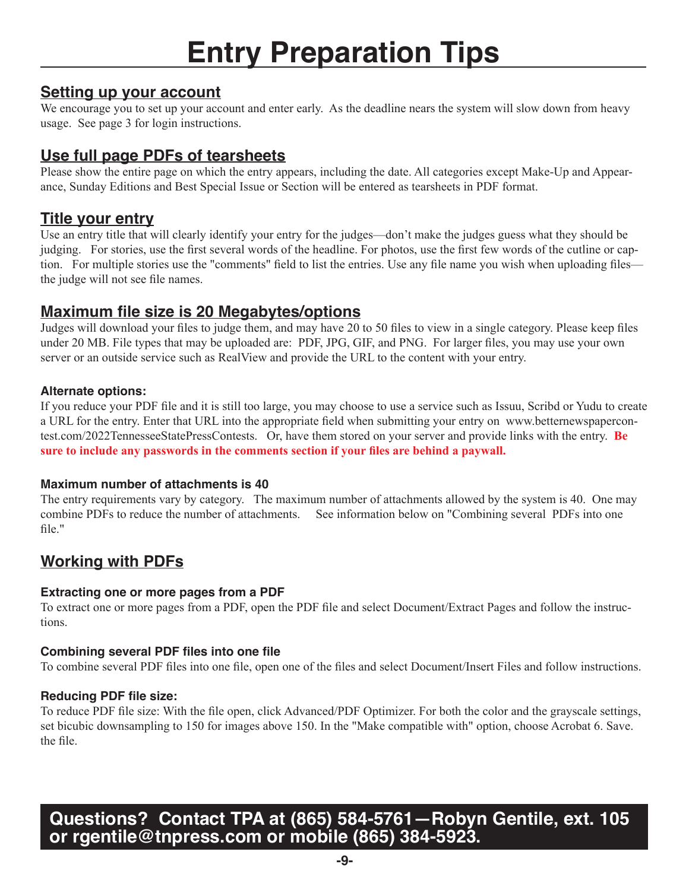# **Entry Preparation Tips**

# **Setting up your account**

We encourage you to set up your account and enter early. As the deadline nears the system will slow down from heavy usage. See page 3 for login instructions.

# **Use full page PDFs of tearsheets**

Please show the entire page on which the entry appears, including the date. All categories except Make-Up and Appearance, Sunday Editions and Best Special Issue or Section will be entered as tearsheets in PDF format.

# **Title your entry**

Use an entry title that will clearly identify your entry for the judges—don't make the judges guess what they should be judging. For stories, use the first several words of the headline. For photos, use the first few words of the cutline or caption. For multiple stories use the "comments" field to list the entries. Use any file name you wish when uploading files the judge will not see file names.

# **Maximum file size is 20 Megabytes/options**

Judges will download your files to judge them, and may have 20 to 50 files to view in a single category. Please keep files under 20 MB. File types that may be uploaded are: PDF, JPG, GIF, and PNG. For larger files, you may use your own server or an outside service such as RealView and provide the URL to the content with your entry.

#### **Alternate options:**

If you reduce your PDF file and it is still too large, you may choose to use a service such as Issuu, Scribd or Yudu to create a URL for the entry. Enter that URL into the appropriate field when submitting your entry on www.betternewspapercontest.com/2022TennesseeStatePressContests. Or, have them stored on your server and provide links with the entry. **Be sure to include any passwords in the comments section if your files are behind a paywall.** 

#### **Maximum number of attachments is 40**

The entry requirements vary by category. The maximum number of attachments allowed by the system is 40. One may combine PDFs to reduce the number of attachments. See information below on "Combining several PDFs into one file."

# **Working with PDFs**

#### **Extracting one or more pages from a PDF**

To extract one or more pages from a PDF, open the PDF file and select Document/Extract Pages and follow the instructions.

#### **Combining several PDF files into one file**

To combine several PDF files into one file, open one of the files and select Document/Insert Files and follow instructions.

#### **Reducing PDF file size:**

To reduce PDF file size: With the file open, click Advanced/PDF Optimizer. For both the color and the grayscale settings, set bicubic downsampling to 150 for images above 150. In the "Make compatible with" option, choose Acrobat 6. Save. the file.

# **Questions? Contact TPA at (865) 584-5761—Robyn Gentile, ext. 105 or rgentile@tnpress.com or mobile (865) 384-5923.**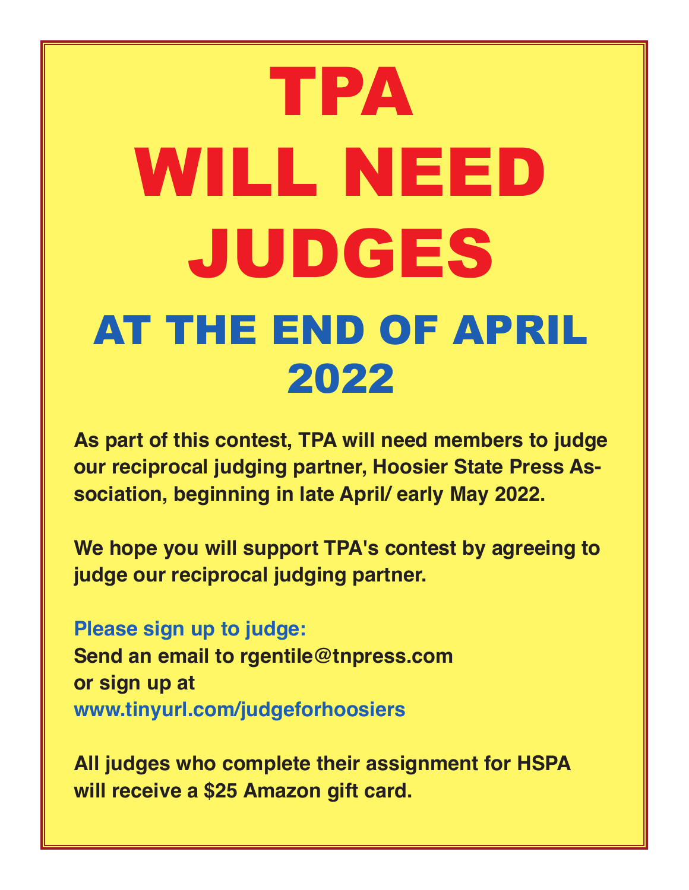# TPA WILL NEED JUDGES AT THE END OF APRIL 2022

**As part of this contest, TPA will need members to judge our reciprocal judging partner, Hoosier State Press Association, beginning in late April/ early May 2022.**

**We hope you will support TPA's contest by agreeing to judge our reciprocal judging partner.** 

**Please sign up to judge: Send an email to rgentile@tnpress.com or sign up at www.tinyurl.com/judgeforhoosiers**

**All judges who complete their assignment for HSPA will receive a \$25 Amazon gift card.**